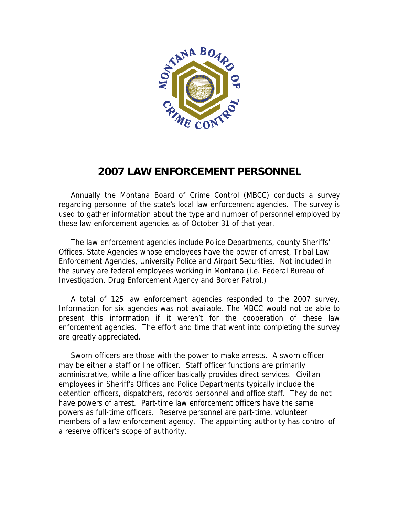

# **2007 LAW ENFORCEMENT PERSONNEL**

 Annually the Montana Board of Crime Control (MBCC) conducts a survey regarding personnel of the state's local law enforcement agencies. The survey is used to gather information about the type and number of personnel employed by these law enforcement agencies as of October 31 of that year.

 The law enforcement agencies include Police Departments, county Sheriffs' Offices, State Agencies whose employees have the power of arrest, Tribal Law Enforcement Agencies, University Police and Airport Securities. Not included in the survey are federal employees working in Montana (i.e. Federal Bureau of Investigation, Drug Enforcement Agency and Border Patrol.)

 A total of 125 law enforcement agencies responded to the 2007 survey. Information for six agencies was not available. The MBCC would not be able to present this information if it weren't for the cooperation of these law enforcement agencies. The effort and time that went into completing the survey are greatly appreciated.

 Sworn officers are those with the power to make arrests. A sworn officer may be either a staff or line officer. Staff officer functions are primarily administrative, while a line officer basically provides direct services. Civilian employees in Sheriff's Offices and Police Departments typically include the detention officers, dispatchers, records personnel and office staff. They do not have powers of arrest. Part-time law enforcement officers have the same powers as full-time officers. Reserve personnel are part-time, volunteer members of a law enforcement agency. The appointing authority has control of a reserve officer's scope of authority.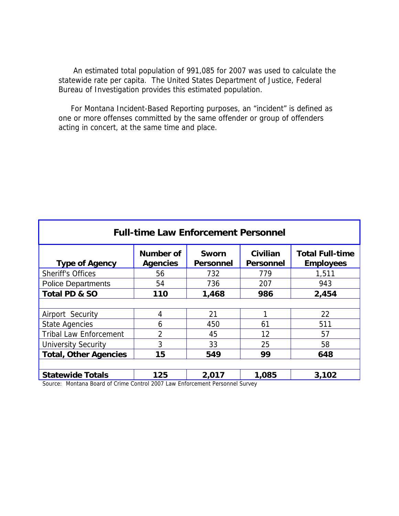An estimated total population of 991,085 for 2007 was used to calculate the statewide rate per capita. The United States Department of Justice, Federal Bureau of Investigation provides this estimated population.

 For Montana Incident-Based Reporting purposes, an "incident" is defined as one or more offenses committed by the same offender or group of offenders acting in concert, at the same time and place.

| <b>Full-time Law Enforcement Personnel</b> |                                     |                                  |                              |                                            |  |  |  |  |  |
|--------------------------------------------|-------------------------------------|----------------------------------|------------------------------|--------------------------------------------|--|--|--|--|--|
| <b>Type of Agency</b>                      | <b>Number of</b><br><b>Agencies</b> | <b>Sworn</b><br><b>Personnel</b> | Civilian<br><b>Personnel</b> | <b>Total Full-time</b><br><b>Employees</b> |  |  |  |  |  |
| <b>Sheriff's Offices</b>                   | 56                                  | 732                              | 779                          | 1,511                                      |  |  |  |  |  |
| <b>Police Departments</b>                  | 54                                  | 736                              | 207                          | 943                                        |  |  |  |  |  |
| Total PD & SO                              | 110                                 | 1,468                            | 986                          | 2,454                                      |  |  |  |  |  |
|                                            |                                     |                                  |                              |                                            |  |  |  |  |  |
| Airport Security                           | 4                                   | 21                               |                              | 22                                         |  |  |  |  |  |
| <b>State Agencies</b>                      | 6                                   | 450                              | 61                           | 511                                        |  |  |  |  |  |
| <b>Tribal Law Enforcement</b>              | 2                                   | 45                               | 12                           | 57                                         |  |  |  |  |  |
| <b>University Security</b>                 | 3                                   | 33                               | 25                           | 58                                         |  |  |  |  |  |
| <b>Total, Other Agencies</b>               | 15                                  | 549                              | 99                           | 648                                        |  |  |  |  |  |
|                                            |                                     |                                  |                              |                                            |  |  |  |  |  |
| <b>Statewide Totals</b>                    | 125                                 | 2,017                            | 1,085                        | 3,102                                      |  |  |  |  |  |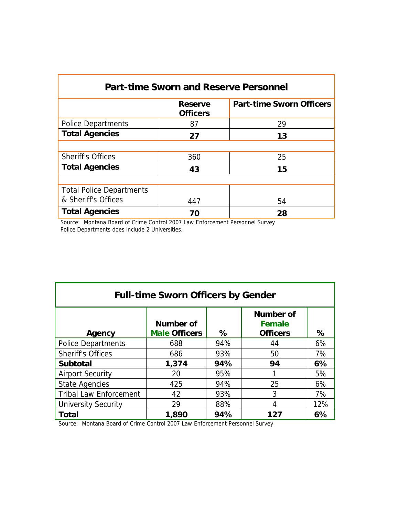| <b>Part-time Sworn and Reserve Personnel</b> |                                   |                                 |  |  |  |  |  |  |
|----------------------------------------------|-----------------------------------|---------------------------------|--|--|--|--|--|--|
|                                              | <b>Reserve</b><br><b>Officers</b> | <b>Part-time Sworn Officers</b> |  |  |  |  |  |  |
| <b>Police Departments</b>                    | 87                                | 29                              |  |  |  |  |  |  |
| <b>Total Agencies</b>                        | 27                                | 13                              |  |  |  |  |  |  |
|                                              |                                   |                                 |  |  |  |  |  |  |
| <b>Sheriff's Offices</b>                     | 360                               | 25                              |  |  |  |  |  |  |
| <b>Total Agencies</b>                        | 43                                | 15                              |  |  |  |  |  |  |
|                                              |                                   |                                 |  |  |  |  |  |  |
| <b>Total Police Departments</b>              |                                   |                                 |  |  |  |  |  |  |
| & Sheriff's Offices                          | 447                               | 54                              |  |  |  |  |  |  |
| <b>Total Agencies</b>                        | 70                                | 28                              |  |  |  |  |  |  |

 Source: Montana Board of Crime Control 2007 Law Enforcement Personnel Survey Police Departments does include 2 Universities.

| <b>Full-time Sworn Officers by Gender</b> |                                   |     |                                               |     |  |  |  |  |  |
|-------------------------------------------|-----------------------------------|-----|-----------------------------------------------|-----|--|--|--|--|--|
| Agency                                    | Number of<br><b>Male Officers</b> | ℅   | Number of<br><b>Female</b><br><b>Officers</b> | ℅   |  |  |  |  |  |
| <b>Police Departments</b>                 | 688                               | 94% | 44                                            | 6%  |  |  |  |  |  |
| <b>Sheriff's Offices</b>                  | 686                               | 93% | 50                                            | 7%  |  |  |  |  |  |
| <b>Subtotal</b>                           | 1,374                             | 94% | 94                                            | 6%  |  |  |  |  |  |
| <b>Airport Security</b>                   | 20                                | 95% |                                               | 5%  |  |  |  |  |  |
| <b>State Agencies</b>                     | 425                               | 94% | 25                                            | 6%  |  |  |  |  |  |
| <b>Tribal Law Enforcement</b>             | 42                                | 93% | 3                                             | 7%  |  |  |  |  |  |
| <b>University Security</b>                | 29                                | 88% | 4                                             | 12% |  |  |  |  |  |
| <b>Total</b>                              | 1,890                             | 94% | 127                                           | 6%  |  |  |  |  |  |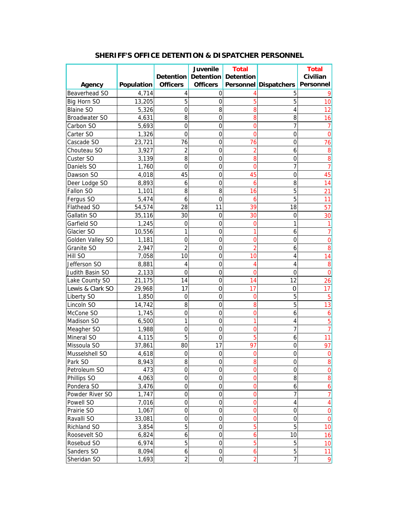|                      |                   |                  | <b>Juvenile</b>                      | <b>Total</b> |                                   | <b>Total</b>     |
|----------------------|-------------------|------------------|--------------------------------------|--------------|-----------------------------------|------------------|
|                      |                   |                  | <b>Detention Detention Detention</b> |              |                                   | Civilian         |
| Agency               | <b>Population</b> | <b>Officers</b>  | <b>Officers</b>                      |              | Personnel Dispatchers   Personnel |                  |
| Beaverhead SO        | 4,714             | 4                | 0                                    |              | 5                                 |                  |
| Big Horn SO          | 13,205            | 5                | 0                                    | 5            | 5                                 | 10               |
| <b>Blaine SO</b>     | 5,326             | $\mathbf 0$      | 8                                    | 8            | 4                                 | 12               |
| <b>Broadwater SO</b> | 4,631             | 8                | $\mathbf 0$                          | 8            | 8                                 | 16               |
| Carbon SO            | 5,693             | $\mathbf 0$      | $\mathbf 0$                          | 0            | 7                                 | 7                |
| Carter SO            | 1,326             | $\mathbf 0$      | $\mathbf 0$                          | 0            | 0                                 | 0                |
| Cascade SO           | 23,721            | 76               | 0                                    | 76           | 0                                 | 76               |
| Chouteau SO          | 3,927             | 2                | 0                                    |              | 6                                 | 8                |
| Custer SO            | 3,139             | 8                | 0                                    | 8            | 0                                 | 8                |
| Daniels SO           | 1,760             | 0                | 0                                    |              | 7                                 | 7                |
| Dawson SO            | 4,018             | 45               | $\mathbf 0$                          | 45           | 0                                 | 45               |
| Deer Lodge SO        | 8,893             | 6                | $\mathbf 0$                          | 6            | 8                                 | 14               |
| Fallon SO            | 1,101             | 8                | 8                                    | 16           | 5                                 | 21               |
| Fergus SO            | 5,474             | 6                | 0                                    | 6            | 5                                 | 11               |
| Flathead SO          | 54,574            | 28               | 11                                   | 39           | 18                                | 57               |
| Gallatin SO          | 35,116            | 30               | $\mathbf 0$                          | 30           | 0                                 | 30               |
| Garfield SO          | 1,245             | 0                | $\mathbf 0$                          | 0            | 1                                 |                  |
| Glacier SO           | 10,556            |                  | $\mathbf 0$                          |              | 6                                 |                  |
| Golden Valley SO     | 1,181             | 0                | 0                                    |              | 0                                 | 0                |
| Granite SO           | 2,947             | $\overline{2}$   | 0                                    |              | 6                                 | 8                |
| Hill SO              | 7,058             | 10               | 0                                    | 10           | 4                                 | 14               |
| Jefferson SO         | 8,881             | 4                | 0                                    |              | 4                                 | 8                |
| Judith Basin SO      | 2,133             | 0                | $\mathbf 0$                          | C            | 0                                 | $\overline{0}$   |
| Lake County SO       | 21,175            | 14               | $\overline{0}$                       | 14           | 12                                | 26               |
| Lewis & Clark SO     | 29,968            | 17               | $\overline{0}$                       | 17           | 0                                 | 17               |
| Liberty SO           | 1,850             | $\mathbf 0$      | $\mathbf 0$                          | 0            | 5                                 | 5                |
| Lincoln SO           | 14,742            | 8                | 0                                    | 8            | 5                                 | 13               |
| McCone SO            | 1,745             | $\mathbf 0$      | 0                                    | 0            | 6                                 | 6                |
| Madison SO           | 6,500             | 1                | $\mathbf 0$                          |              | 4                                 | 5                |
| Meagher SO           | 1,988             | 0                | $\mathbf 0$                          | 0            | 7                                 |                  |
| Mineral SO           | 4,115             | 5                | $\mathbf 0$                          | 5            | 6                                 | 11               |
| Missoula SO          | 37,861            | 80               | 17                                   | 97           | 0                                 | 97               |
| Musselshell SO       | 4,618             | 0                | ი                                    |              | 0                                 | 0                |
| Park SO              | 8,943             | 8                | 0                                    | 8            | 0                                 | 8                |
| Petroleum SO         | 473               | 0                | 0                                    | 0            | 0                                 | $\pmb{0}$        |
| Phillips SO          | 4,063             | $\boldsymbol{0}$ | $\boldsymbol{0}$                     | 0            | 8                                 | 8                |
| Pondera SO           | 3,476             | $\mathbf 0$      | $\mathbf 0$                          | 0            | 6                                 | $\boldsymbol{6}$ |
| Powder River SO      | 1,747             | 0                | $\overline{0}$                       | 0            | $\overline{7}$                    | $\overline{7}$   |
| Powell SO            | 7,016             | 0                | $\mathbf 0$                          | 0            | 4                                 | 4                |
| Prairie SO           | 1,067             | 0                | $\mathbf 0$                          | 0            | $\mathbf 0$                       | $\mathbf 0$      |
| Ravalli SO           | 33,081            | 0                | $\mathbf 0$                          |              | $\mathbf 0$                       | $\overline{0}$   |
| Richland SO          | 3,854             | 5                | 0                                    | 5            | 5                                 | 10               |
| Roosevelt SO         | 6,824             | 6                | $\overline{0}$                       | 6            | 10                                | 16               |
| Rosebud SO           | 6,974             | 5                | $\mathbf 0$                          | 5            | 5                                 | 10               |
| Sanders SO           | 8,094             | 6                | 0                                    | 6            | 5                                 | 11               |
| Sheridan SO          | 1,693             | $\overline{2}$   | $\mathbf 0$                          | 2            | $\overline{7}$                    | 9                |

### **SHERIFF'S OFFICE DETENTION & DISPATCHER PERSONNEL**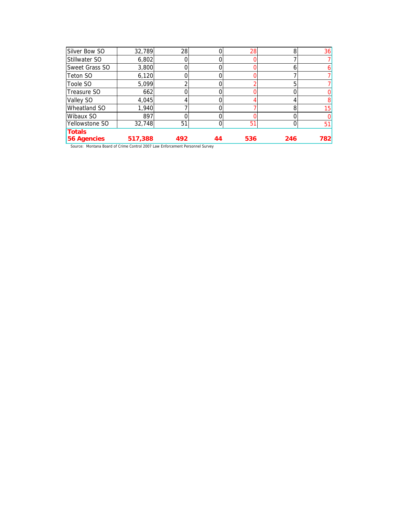| Silver Bow SO        | 32,789  | 28  |    | 28  | 8   | 36  |
|----------------------|---------|-----|----|-----|-----|-----|
| <b>Stillwater SO</b> | 6,802   |     |    |     |     |     |
| Sweet Grass SO       | 3,800   |     |    |     | o   |     |
| <b>Teton SO</b>      | 6,120   |     |    |     |     |     |
| Toole SO             | 5,099   |     |    |     | 5   |     |
| Treasure SO          | 662     |     |    |     |     |     |
| Valley SO            | 4,045   |     |    |     |     |     |
| Wheatland SO         | 1,940   |     |    |     | 8   | 15  |
| Wibaux SO            | 897     |     |    |     |     |     |
| Yellowstone SO       | 32,748  | 51  |    | 51  | 0   | 51  |
| <b>Totals</b>        |         |     |    |     |     |     |
| <b>56 Agencies</b>   | 517,388 | 492 | 44 | 536 | 246 | 782 |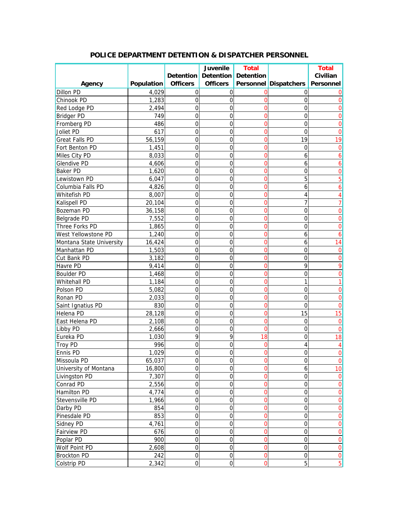|                          |            |                  | Juvenile                          | <b>Total</b>   |                       | <b>Total</b>   |
|--------------------------|------------|------------------|-----------------------------------|----------------|-----------------------|----------------|
|                          |            |                  | Detention   Detention   Detention |                |                       | Civilian       |
| Agency                   | Population | <b>Officers</b>  | <b>Officers</b>                   |                | Personnel Dispatchers | Personnel      |
| Dillon PD                | 4,029      | $\mathbf 0$      | $\overline{0}$                    | 0              | 0                     |                |
| Chinook PD               | 1,283      | 0                | 0                                 | 0              | 0                     |                |
| Red Lodge PD             | 2,494      | 0                | 0                                 | 0              | 0                     |                |
| <b>Bridger PD</b>        | 749        | 0                | 0                                 | 0              | 0                     |                |
| Fromberg PD              | 486        | 0                | 0                                 | 0              | 0                     |                |
| Joliet PD                | 617        | 0                | 0                                 | 0              | 0                     |                |
| <b>Great Falls PD</b>    | 56,159     | 0                | 0                                 | 0              | 19                    | 19             |
| Fort Benton PD           | 1,451      | 0                | 0                                 | 0              | 0                     | 0              |
| Miles City PD            | 8,033      | 0                | 0                                 | 0              | 6                     |                |
| <b>Glendive PD</b>       | 4,606      | 0                | 0                                 | 0              | 6                     | 6              |
| <b>Baker PD</b>          | 1,620      | 0                | 0                                 | 0              | 0                     | 0              |
| Lewistown PD             | 6,047      | 0                | 0                                 | 0              | 5                     | 5              |
| Columbia Falls PD        | 4,826      | $\overline{0}$   | 0                                 | 0              | 6                     | 6              |
| <b>Whitefish PD</b>      | 8,007      | $\overline{0}$   | 0                                 | 0              | 4                     |                |
| Kalispell PD             | 20,104     | $\overline{0}$   | 0                                 | 0              |                       |                |
| <b>Bozeman PD</b>        | 36,158     | 0                | 0                                 | 0              | 0                     | 0              |
| <b>Belgrade PD</b>       | 7,552      | $\overline{0}$   | 0                                 | 0              | 0                     | ი              |
| Three Forks PD           | 1,865      | 0                | 0                                 | 0              | 0                     | ი              |
| West Yellowstone PD      | 1,240      | 0                | 0                                 | 0              | 6                     | 6              |
| Montana State University | 16,424     | 0                | 0                                 | 0              | 6                     | 14             |
| Manhattan PD             | 1,503      | 0                | 0                                 | 0              | 0                     | 0              |
| Cut Bank PD              | 3,182      | 0                | 0                                 | 0              | 0                     | 0              |
| Havre PD                 | 9,414      | 0                | 0                                 | 0              | 9                     | 9              |
| <b>Boulder PD</b>        | 1,468      | $\overline{0}$   | 0                                 | 0              | 0                     | 0              |
| Whitehall PD             | 1,184      | $\overline{0}$   | 0                                 | $\overline{0}$ | 1                     |                |
| Polson PD                | 5,082      | $\overline{0}$   | 0                                 | 0              | 0                     | 0              |
| Ronan PD                 | 2,033      | 0                | 0                                 | 0              | 0                     | 0              |
| Saint Ignatius PD        | 830        | 0                | 0                                 | 0              | 0                     | O              |
| Helena PD                | 28,128     | 0                | 0                                 | 0              | 15                    | 15             |
| East Helena PD           | 2,108      | 0                | 0                                 | 0              | 0                     | 0              |
| Libby PD                 | 2,666      | 0                | 0                                 | 0              | 0                     | 0              |
| Eureka PD                | 1,030      | 9                | 9                                 | 18             | 0                     | 18             |
| <b>Troy PD</b>           | 996        | 0                | 0                                 | 0              |                       |                |
| <b>Ennis PD</b>          | 1,029      | 0                | 0                                 |                | ი                     |                |
| Missoula PD              | 65,037     | 0                | $\boldsymbol{0}$                  | 0              | $\mathbf 0$           | $\overline{0}$ |
| University of Montana    | 16,800     | $\boldsymbol{0}$ | 0                                 | 0              | 6                     | 10             |
| Livingston PD            | 7,307      | $\boldsymbol{0}$ | $\boldsymbol{0}$                  | 0              | $\mathbf 0$           | $\mathbf 0$    |
| Conrad PD                | 2,556      | $\boldsymbol{0}$ | 0                                 | 0              | $\mathbf 0$           | $\overline{0}$ |
| Hamilton PD              | 4,774      | $\boldsymbol{0}$ | 0                                 | 0              | $\overline{0}$        | $\overline{0}$ |
| Stevensville PD          | 1,966      | $\mathbf 0$      | 0                                 | 0              | $\overline{0}$        | $\overline{0}$ |
| Darby PD                 | 854        | $\boldsymbol{0}$ | 0                                 | 0              | $\overline{0}$        | $\overline{0}$ |
| Pinesdale PD             | 853        | 0                | 0                                 | $\overline{0}$ | $\mathbf 0$           | $\overline{0}$ |
| Sidney PD                | 4,761      | 0                | 0                                 | $\overline{0}$ | $\mathbf 0$           | $\overline{0}$ |
| <b>Fairview PD</b>       | 676        | $\boldsymbol{0}$ | 0                                 | 0              | $\overline{0}$        | $\overline{0}$ |
| Poplar PD                | 900        | $\boldsymbol{0}$ | 0                                 | $\overline{0}$ | $\overline{0}$        | $\overline{0}$ |
| Wolf Point PD            | 2,608      | $\boldsymbol{0}$ | $\boldsymbol{0}$                  | $\mathbf 0$    | $\mathbf 0$           | $\overline{0}$ |
| <b>Brockton PD</b>       | 242        | $\mbox{O}$       | $\mathbf 0$                       | $\mathbf 0$    | $\boldsymbol{0}$      | 0              |
| Colstrip PD              | 2,342      | $\boldsymbol{0}$ | $\boldsymbol{0}$                  | $\mathbf 0$    | 5                     | $\overline{5}$ |

## **POLICE DEPARTMENT DETENTION & DISPATCHER PERSONNEL**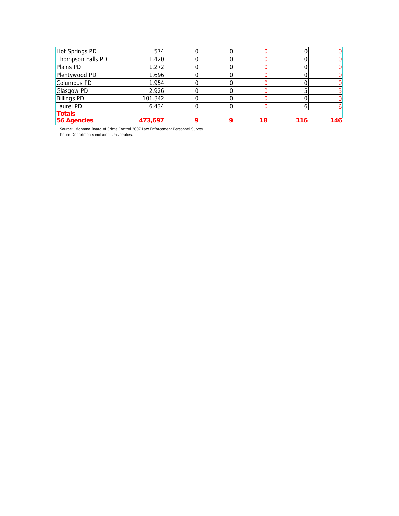| 56 Agencies        | 473,697 | Q | 18 | 116 | 146 |
|--------------------|---------|---|----|-----|-----|
| <b>Totals</b>      |         |   |    |     |     |
| Laurel PD          | 6,434   |   |    |     |     |
| <b>Billings PD</b> | 101,342 |   |    |     |     |
| <b>Glasgow PD</b>  | 2,926   |   |    |     |     |
| Columbus PD        | 1,954   |   |    |     |     |
| Plentywood PD      | 1,696   |   |    |     |     |
| <b>Plains PD</b>   | 1,272   |   |    |     |     |
| Thompson Falls PD  | 1,420   |   |    |     |     |
| Hot Springs PD     | 574     |   |    |     |     |

 Source: Montana Board of Crime Control 2007 Law Enforcement Personnel Survey Police Departments include 2 Universities.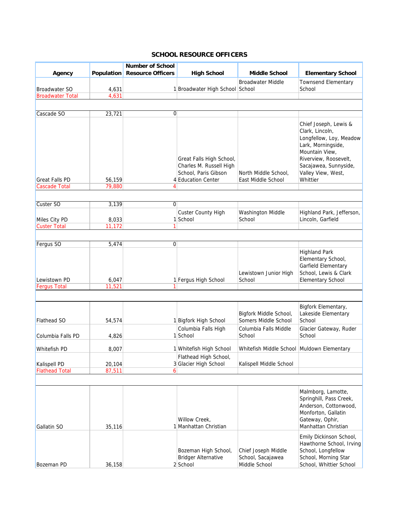### **SCHOOL RESOURCE OFFICERS**

|                                               |                   | <b>Number of School</b>  |                                                                                                   |                                                           |                                                                                                                                                                                                 |
|-----------------------------------------------|-------------------|--------------------------|---------------------------------------------------------------------------------------------------|-----------------------------------------------------------|-------------------------------------------------------------------------------------------------------------------------------------------------------------------------------------------------|
| Agency                                        | <b>Population</b> | <b>Resource Officers</b> | <b>High School</b>                                                                                | <b>Middle School</b>                                      | <b>Elementary School</b>                                                                                                                                                                        |
| <b>Broadwater SO</b>                          | 4,631             |                          | 1 Broadwater High School School                                                                   | <b>Broadwater Middle</b>                                  | <b>Townsend Elementary</b><br>School                                                                                                                                                            |
| <b>Broadwater Total</b>                       | 4,631             |                          |                                                                                                   |                                                           |                                                                                                                                                                                                 |
|                                               |                   |                          |                                                                                                   |                                                           |                                                                                                                                                                                                 |
| Cascade SO                                    | 23,721            | $\overline{0}$           |                                                                                                   |                                                           |                                                                                                                                                                                                 |
|                                               |                   |                          |                                                                                                   |                                                           |                                                                                                                                                                                                 |
| <b>Great Falls PD</b><br><b>Cascade Total</b> | 56,159<br>79,880  | 4                        | Great Falls High School,<br>Charles M. Russell High<br>School, Paris Gibson<br>4 Education Center | North Middle School,<br>East Middle School                | Chief Joseph, Lewis &<br>Clark, Lincoln,<br>Longfellow, Loy, Meadow<br>Lark, Morningside,<br>Mountain View,<br>Riverview, Roosevelt,<br>Sacajawea, Sunnyside,<br>Valley View, West,<br>Whittier |
|                                               |                   |                          |                                                                                                   |                                                           |                                                                                                                                                                                                 |
|                                               |                   |                          |                                                                                                   |                                                           |                                                                                                                                                                                                 |
| Custer SO                                     | 3,139             | 0                        |                                                                                                   |                                                           |                                                                                                                                                                                                 |
|                                               |                   |                          | <b>Custer County High</b>                                                                         | Washington Middle                                         | Highland Park, Jefferson,                                                                                                                                                                       |
| Miles City PD<br><b>Custer Total</b>          | 8,033<br>11,172   | 1                        | 1 School                                                                                          | School                                                    | Lincoln, Garfield                                                                                                                                                                               |
|                                               |                   |                          |                                                                                                   |                                                           |                                                                                                                                                                                                 |
|                                               |                   |                          |                                                                                                   |                                                           |                                                                                                                                                                                                 |
| Fergus SO                                     | 5,474             | $\Omega$                 |                                                                                                   |                                                           |                                                                                                                                                                                                 |
| Lewistown PD<br><b>Fergus Total</b>           | 6,047<br>11,521   |                          | 1 Fergus High School                                                                              | Lewistown Junior High<br>School                           | <b>Highland Park</b><br>Elementary School,<br>Garfield Elementary<br>School, Lewis & Clark<br><b>Elementary School</b>                                                                          |
|                                               |                   |                          |                                                                                                   |                                                           |                                                                                                                                                                                                 |
|                                               |                   |                          |                                                                                                   |                                                           |                                                                                                                                                                                                 |
| <b>Flathead SO</b>                            | 54,574            |                          | 1 Bigfork High School                                                                             | Bigfork Middle School,<br>Somers Middle School            | Bigfork Elementary,<br>Lakeside Elementary<br>School                                                                                                                                            |
|                                               |                   |                          | Columbia Falls High                                                                               | Columbia Falls Middle                                     | Glacier Gateway, Ruder                                                                                                                                                                          |
| Columbia Falls PD                             | 4,826             |                          | 1 School                                                                                          | School                                                    | School                                                                                                                                                                                          |
| Whitefish PD                                  | 8,007             |                          | 1 Whitefish High School                                                                           | Whitefish Middle School Muldown Elementary                |                                                                                                                                                                                                 |
|                                               |                   |                          | Flathead High School,                                                                             |                                                           |                                                                                                                                                                                                 |
| <b>Kalispell PD</b>                           | 20,104            |                          | 3 Glacier High School                                                                             | Kalispell Middle School                                   |                                                                                                                                                                                                 |
| <b>Flathead Total</b>                         | 87,511            | 6                        |                                                                                                   |                                                           |                                                                                                                                                                                                 |
|                                               |                   |                          |                                                                                                   |                                                           |                                                                                                                                                                                                 |
| <b>Gallatin SO</b>                            | 35,116            |                          | Willow Creek,<br>1 Manhattan Christian                                                            |                                                           | Malmborg, Lamotte,<br>Springhill, Pass Creek,<br>Anderson, Cottonwood,<br>Monforton, Gallatin<br>Gateway, Ophir,<br>Manhattan Christian                                                         |
| <b>Bozeman PD</b>                             | 36,158            |                          | Bozeman High School,<br><b>Bridger Alternative</b><br>2 School                                    | Chief Joseph Middle<br>School, Sacajawea<br>Middle School | Emily Dickinson School,<br>Hawthorne School, Irving<br>School, Longfellow<br>School, Morning Star<br>School, Whittier School                                                                    |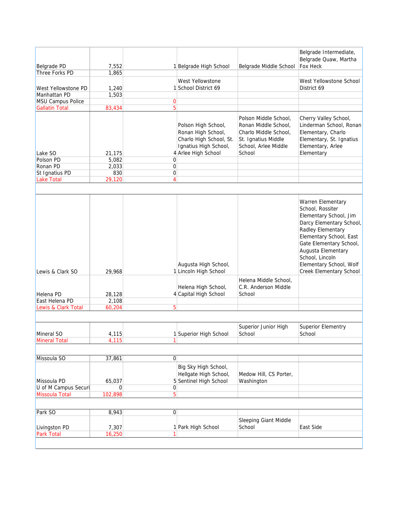|                                               |                 |                |                                                                                                                      |                                                                                                                                 | Belgrade Intermediate,<br>Belgrade Quaw, Martha                                                                                                                                                                                                                       |
|-----------------------------------------------|-----------------|----------------|----------------------------------------------------------------------------------------------------------------------|---------------------------------------------------------------------------------------------------------------------------------|-----------------------------------------------------------------------------------------------------------------------------------------------------------------------------------------------------------------------------------------------------------------------|
| Belgrade PD                                   | 7,552           |                | 1 Belgrade High School                                                                                               | Belgrade Middle School                                                                                                          | Fox Heck                                                                                                                                                                                                                                                              |
| Three Forks PD                                | 1,865           |                | West Yellowstone                                                                                                     |                                                                                                                                 | West Yellowstone School                                                                                                                                                                                                                                               |
| West Yellowstone PD                           | 1,240           |                | 1 School District 69                                                                                                 |                                                                                                                                 | District 69                                                                                                                                                                                                                                                           |
| Manhattan PD                                  | 1,503           |                |                                                                                                                      |                                                                                                                                 |                                                                                                                                                                                                                                                                       |
| MSU Campus Police                             |                 | 0<br>5         |                                                                                                                      |                                                                                                                                 |                                                                                                                                                                                                                                                                       |
| <b>Gallatin Total</b>                         | 83,434          |                |                                                                                                                      |                                                                                                                                 |                                                                                                                                                                                                                                                                       |
| Lake SO<br>Polson PD                          | 21,175<br>5,082 | 0              | Polson High School,<br>Ronan High School,<br>Charlo High School, St.<br>Ignatius High School,<br>4 Arlee High School | Polson Middle School,<br>Ronan Middle School,<br>Charlo Middle School,<br>St. Ignatius Middle<br>School, Arlee Middle<br>School | Cherry Valley School,<br>Linderman School, Ronan<br>Elementary, Charlo<br>Elementary, St. Ignatius<br>Elementary, Arlee<br>Elementary                                                                                                                                 |
| Ronan PD                                      | 2,033           | 0              |                                                                                                                      |                                                                                                                                 |                                                                                                                                                                                                                                                                       |
| St Ignatius PD                                | 830             | 0              |                                                                                                                      |                                                                                                                                 |                                                                                                                                                                                                                                                                       |
| <b>Lake Total</b>                             | 29,120          | $\overline{4}$ |                                                                                                                      |                                                                                                                                 |                                                                                                                                                                                                                                                                       |
|                                               |                 |                |                                                                                                                      |                                                                                                                                 |                                                                                                                                                                                                                                                                       |
| Lewis & Clark SO                              | 29,968          |                | Augusta High School,<br>1 Lincoln High School                                                                        |                                                                                                                                 | Warren Elementary<br>School, Rossiter<br>Elementary School, Jim<br>Darcy Elementary School,<br>Radley Elementary<br>Elementary School, East<br>Gate Elementary School,<br>Augusta Elementary<br>School, Lincoln<br>Elementary School, Wolf<br>Creek Elementary School |
|                                               |                 |                | Helena High School,                                                                                                  | Helena Middle School,<br>C.R. Anderson Middle                                                                                   |                                                                                                                                                                                                                                                                       |
| Helena PD                                     | 28,128          |                | 4 Capital High School                                                                                                | School                                                                                                                          |                                                                                                                                                                                                                                                                       |
| East Helena PD                                | 2,108           |                |                                                                                                                      |                                                                                                                                 |                                                                                                                                                                                                                                                                       |
| Lewis & Clark Total                           | 60,204          | 5              |                                                                                                                      |                                                                                                                                 |                                                                                                                                                                                                                                                                       |
|                                               |                 |                |                                                                                                                      |                                                                                                                                 |                                                                                                                                                                                                                                                                       |
|                                               |                 |                |                                                                                                                      | Superior Junior High                                                                                                            | <b>Superior Elementry</b>                                                                                                                                                                                                                                             |
| Mineral SO                                    | 4,115           |                | 1 Superior High School                                                                                               | School                                                                                                                          | School                                                                                                                                                                                                                                                                |
| <b>Mineral Total</b>                          | 4,115           | 1              |                                                                                                                      |                                                                                                                                 |                                                                                                                                                                                                                                                                       |
|                                               |                 |                |                                                                                                                      |                                                                                                                                 |                                                                                                                                                                                                                                                                       |
| Missoula SO                                   | 37,861          | $\overline{0}$ |                                                                                                                      |                                                                                                                                 |                                                                                                                                                                                                                                                                       |
|                                               |                 |                | Big Sky High School,<br>Hellgate High School,                                                                        | Medow Hill, CS Porter,                                                                                                          |                                                                                                                                                                                                                                                                       |
| Missoula PD                                   | 65,037          |                | 5 Sentinel High School                                                                                               | Washington                                                                                                                      |                                                                                                                                                                                                                                                                       |
| U of M Campus Securi<br><b>Missoula Total</b> | 0               | 0              |                                                                                                                      |                                                                                                                                 |                                                                                                                                                                                                                                                                       |
|                                               | 102,898         | 5              |                                                                                                                      |                                                                                                                                 |                                                                                                                                                                                                                                                                       |
| Park SO                                       | 8,943           | 0              |                                                                                                                      |                                                                                                                                 |                                                                                                                                                                                                                                                                       |
|                                               |                 |                |                                                                                                                      | Sleeping Giant Middle                                                                                                           |                                                                                                                                                                                                                                                                       |
| Livingston PD                                 | 7,307           |                | 1 Park High School                                                                                                   | School                                                                                                                          | East Side                                                                                                                                                                                                                                                             |
| Park Total                                    | 16,250          | 1              |                                                                                                                      |                                                                                                                                 |                                                                                                                                                                                                                                                                       |
|                                               |                 |                |                                                                                                                      |                                                                                                                                 |                                                                                                                                                                                                                                                                       |
|                                               |                 |                |                                                                                                                      |                                                                                                                                 |                                                                                                                                                                                                                                                                       |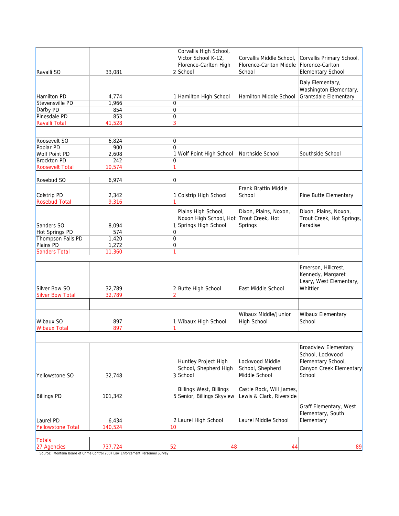| Ravalli SO                               | 33,081           |                | Corvallis High School,<br>Victor School K-12,<br>Florence-Carlton High<br>2 School | Corvallis Middle School,<br>Florence-Carlton Middle<br>School | Corvallis Primary School,<br>Florence-Carlton<br><b>Elementary School</b>                                  |
|------------------------------------------|------------------|----------------|------------------------------------------------------------------------------------|---------------------------------------------------------------|------------------------------------------------------------------------------------------------------------|
| <b>Hamilton PD</b><br>Stevensville PD    | 4,774<br>1,966   | $\mathbf 0$    | 1 Hamilton High School                                                             | Hamilton Middle School                                        | Daly Elementary,<br>Washington Elementary,<br>Grantsdale Elementary                                        |
| Darby PD                                 | 854              | $\mathbf 0$    |                                                                                    |                                                               |                                                                                                            |
| Pinesdale PD                             | 853              | $\overline{0}$ |                                                                                    |                                                               |                                                                                                            |
| <b>Ravalli Total</b>                     | 41,528           | 3              |                                                                                    |                                                               |                                                                                                            |
|                                          |                  |                |                                                                                    |                                                               |                                                                                                            |
| Roosevelt SO                             | 6,824            | 0              |                                                                                    |                                                               |                                                                                                            |
| Poplar PD                                | 900              | $\mathbf 0$    |                                                                                    |                                                               |                                                                                                            |
| Wolf Point PD                            | 2,608            |                | 1 Wolf Point High School                                                           | Northside School                                              | Southside School                                                                                           |
| <b>Brockton PD</b>                       | 242              | 0              |                                                                                    |                                                               |                                                                                                            |
| <b>Roosevelt Total</b>                   | 10,574           | 1              |                                                                                    |                                                               |                                                                                                            |
|                                          |                  |                |                                                                                    |                                                               |                                                                                                            |
| Rosebud SO                               | 6,974            | $\Omega$       |                                                                                    |                                                               |                                                                                                            |
| Colstrip PD<br><b>Rosebud Total</b>      | 2,342            |                | 1 Colstrip High School                                                             | Frank Brattin Middle<br>School                                | Pine Butte Elementary                                                                                      |
|                                          | 9,316            |                |                                                                                    |                                                               |                                                                                                            |
| Sanders SO                               | 8,094            |                | Plains High School,<br>Noxon High School, Hot<br>1 Springs High School             | Dixon, Plains, Noxon,<br>Trout Creek, Hot<br>Springs          | Dixon, Plains, Noxon,<br>Trout Creek, Hot Springs,<br>Paradise                                             |
| <b>Hot Springs PD</b>                    | 574              | $\mathbf 0$    |                                                                                    |                                                               |                                                                                                            |
| Thompson Falls PD                        | 1,420            | $\mathbf 0$    |                                                                                    |                                                               |                                                                                                            |
| <b>Plains PD</b>                         | 1,272            | 0              |                                                                                    |                                                               |                                                                                                            |
| <b>Sanders Total</b>                     | 11,360           | 1              |                                                                                    |                                                               |                                                                                                            |
|                                          |                  |                |                                                                                    |                                                               |                                                                                                            |
| Silver Bow SO<br><b>Silver Bow Total</b> | 32,789<br>32,789 |                | 2 Butte High School                                                                | East Middle School                                            | Emerson, Hillcrest,<br>Kennedy, Margaret<br>Leary, West Elementary,<br>Whittier                            |
|                                          |                  |                |                                                                                    |                                                               |                                                                                                            |
|                                          |                  |                |                                                                                    |                                                               |                                                                                                            |
| Wibaux SO                                | 897              |                | 1 Wibaux High School                                                               | Wibaux Middle/Junior<br><b>High School</b>                    | Wibaux Elementary<br>School                                                                                |
| <b>Wibaux Total</b>                      | 897              | 1              |                                                                                    |                                                               |                                                                                                            |
|                                          |                  |                |                                                                                    |                                                               |                                                                                                            |
| Yellowstone SO                           | 32,748           |                | Huntley Project High<br>School, Shepherd High<br>3 School                          | Lockwood Middle<br>School, Shepherd<br>Middle School          | <b>Broadview Elementary</b><br>School, Lockwood<br>Elementary School,<br>Canyon Creek Elementary<br>School |
| <b>Billings PD</b>                       | 101,342          |                | <b>Billings West, Billings</b><br>5 Senior, Billings Skyview                       | Castle Rock, Will James,<br>Lewis & Clark, Riverside          |                                                                                                            |
| Laurel PD                                | 6,434            |                | 2 Laurel High School                                                               | Laurel Middle School                                          | Graff Elementary, West<br>Elementary, South<br>Elementary                                                  |
| <b>Yellowstone Total</b>                 | 140,524          | 10             |                                                                                    |                                                               |                                                                                                            |
| <b>Totals</b>                            |                  |                |                                                                                    |                                                               |                                                                                                            |
| 27 Agencies                              | 737,724          | 52             | 48                                                                                 | 44                                                            | 89                                                                                                         |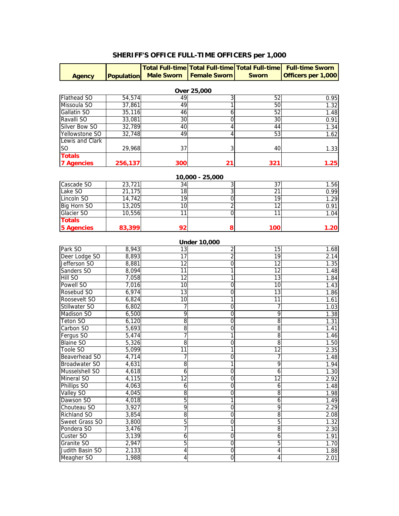## **SHERIFF'S OFFICE FULL-TIME OFFICERS per 1,000**

|                    |         |                              |                     |                 | Total Full-time Total Full-time Total Full-time Full-time Sworn |  |  |  |  |
|--------------------|---------|------------------------------|---------------------|-----------------|-----------------------------------------------------------------|--|--|--|--|
| <b>Agency</b>      |         | <b>Population</b> Male Sworn | <b>Female Sworn</b> | <b>Sworn</b>    | Officers per 1,000                                              |  |  |  |  |
|                    |         |                              |                     |                 |                                                                 |  |  |  |  |
| Over 25,000        |         |                              |                     |                 |                                                                 |  |  |  |  |
| Flathead SO        | 54,574  | 49                           | 3                   | 52              | 0.95                                                            |  |  |  |  |
| Missoula SO        | 37,861  | 49                           | 1                   | 50              | 1.32                                                            |  |  |  |  |
| Gallatin SO        | 35,116  | 46                           | 6                   | 52              | 1.48                                                            |  |  |  |  |
| Ravalli SO         | 33,081  | 30                           | $\overline{0}$      | 30              | 0.91                                                            |  |  |  |  |
| Silver Bow SO      | 32,789  | 40                           | 4                   | 44              | 1.34                                                            |  |  |  |  |
| Yellowstone SO     | 32,748  | 49                           | 4                   | 53              | 1.62                                                            |  |  |  |  |
| Lewis and Clark    |         |                              |                     |                 |                                                                 |  |  |  |  |
| SO.                | 29,968  | 37                           | 3                   | 40              | 1.33                                                            |  |  |  |  |
| <b>Totals</b>      |         |                              |                     |                 |                                                                 |  |  |  |  |
| <b>7 Agencies</b>  | 256,137 | 300                          | 21                  | 321             | 1.25                                                            |  |  |  |  |
|                    |         |                              | 10,000 - 25,000     |                 |                                                                 |  |  |  |  |
| Cascade SO         | 23,721  | $\overline{34}$              | 3                   | $\overline{37}$ | 1.56                                                            |  |  |  |  |
| Lake SO            | 21,175  | $\overline{18}$              | 3                   | 21              | 0.99                                                            |  |  |  |  |
| Lincoln SO         | 14,742  | 19                           | $\mathbf 0$         | 19              | 1.29                                                            |  |  |  |  |
| <b>Big Horn SO</b> | 13,205  | 10                           | $\overline{2}$      | $\overline{12}$ | 0.91                                                            |  |  |  |  |
| Glacier SO         | 10,556  | $\overline{11}$              | $\overline{0}$      | 11              | 1.04                                                            |  |  |  |  |
| <b>Totals</b>      |         |                              |                     |                 |                                                                 |  |  |  |  |
| <b>5 Agencies</b>  | 83,399  | 92                           | 8                   | 100             | 1.20                                                            |  |  |  |  |
|                    |         |                              |                     |                 |                                                                 |  |  |  |  |
|                    |         |                              | <b>Under 10,000</b> |                 |                                                                 |  |  |  |  |
| Park SO            | 8,943   | 13                           | 2                   | 15              | 1.68                                                            |  |  |  |  |
| Deer Lodge SO      | 8,893   | $\overline{17}$              | $\overline{2}$      | 19              | 2.14                                                            |  |  |  |  |
| Jefferson SO       | 8,881   | $\overline{12}$              | $\overline{0}$      | $\overline{12}$ | 1.35                                                            |  |  |  |  |
| Sanders SO         | 8,094   | 11                           | 1                   | $\overline{12}$ | 1.48                                                            |  |  |  |  |
| <b>Hill SO</b>     | 7,058   | $\overline{12}$              | 1                   | 13              | 1.84                                                            |  |  |  |  |
| Powell SO          | 7,016   | 10                           | 0                   | 10              | 1.43                                                            |  |  |  |  |
| Rosebud SO         | 6,974   | $\overline{13}$              | 0                   | 13              | 1.86                                                            |  |  |  |  |
| Roosevelt SO       | 6,824   | $\overline{10}$              | 1                   | 11              | 1.61                                                            |  |  |  |  |
| Stillwater SO      | 6,802   | 7                            | $\overline{0}$      | 7               | 1.03                                                            |  |  |  |  |
| Madison SO         | 6,500   | 9                            | Ō                   | 9               | 1.38                                                            |  |  |  |  |
| Teton SO           | 6,120   | $\overline{8}$               | $\mathbf 0$         | 8               | 1.31                                                            |  |  |  |  |
| Carbon SO          | 5,693   | 8                            | 0                   | $\overline{8}$  | 1.41                                                            |  |  |  |  |
| Fergus SO          | 5,474   | 7                            | 1                   | 8               | 1.46                                                            |  |  |  |  |
| <b>Blaine SO</b>   | 5,326   | 8                            | $\mathbf 0$         | $\overline{8}$  | 1.50                                                            |  |  |  |  |
| Toole SO           | 5,099   | $\overline{11}$              | 1                   | $\overline{12}$ | 2.35                                                            |  |  |  |  |
| Beaverhead SO      | 4,714   | 7                            | $\overline{0}$      | 7               | 1.48                                                            |  |  |  |  |
| Broadwater SO      | 4,631   | $\overline{8}$               | 1                   | 9               | 1.94                                                            |  |  |  |  |
| Musselshell SO     | 4,618   | 6                            | 0                   | 6               | 1.30                                                            |  |  |  |  |
| Mineral SO         | 4,115   | 12                           | $\mathbf 0$         | $\overline{12}$ | 2.92                                                            |  |  |  |  |
| Phillips SO        | 4,063   | 6                            | $\overline{0}$      | $\overline{6}$  | 1.48                                                            |  |  |  |  |
| <b>Valley SO</b>   | 4,045   | 8                            | $\mathbf 0$         | $\overline{8}$  | 1.98                                                            |  |  |  |  |
| Dawson SO          | 4,018   | 5                            | 1                   | $\overline{6}$  | 1.49                                                            |  |  |  |  |
| Chouteau SO        | 3,927   | 9                            | $\overline{0}$      | 9               | 2.29                                                            |  |  |  |  |
| <b>Richland SO</b> | 3,854   | $\overline{8}$               | 0                   | $\overline{8}$  | 2.08                                                            |  |  |  |  |
| Sweet Grass SO     | 3,800   | 5                            | $\mathbf 0$         | $\overline{5}$  | 1.32                                                            |  |  |  |  |
| Pondera SO         | 3,476   | 7                            | 1                   | $\overline{8}$  | 2.30                                                            |  |  |  |  |
| Custer SO          | 3,139   | 6                            | $\overline{0}$      | $\overline{6}$  | 1.91                                                            |  |  |  |  |
| Granite SO         | 2,947   | 5                            | Ō                   | $\overline{5}$  | 1.70                                                            |  |  |  |  |
| Judith Basin SO    | 2,133   | 4                            | $\overline{0}$      | $\overline{4}$  | 1.88                                                            |  |  |  |  |
| Meagher SO         | 1,988   | 4                            | $\overline{0}$      | 4               | 2.01                                                            |  |  |  |  |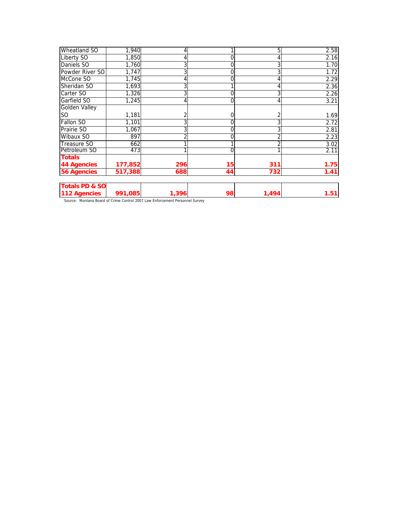| <b>Wheatland SO</b>       | 1,940   | 4     |    | 5     | 2.58 |
|---------------------------|---------|-------|----|-------|------|
| <b>Liberty SO</b>         | 1,850   |       | 0  |       | 2.16 |
| Daniels SO                | 1,760   | 3     | 0  | 3     | 1.70 |
| Powder River SO           | 1,747   |       | 0  | 3     | 1.72 |
| McCone SO                 | 1,745   |       | 0  |       | 2.29 |
| Sheridan SO               | 1,693   |       |    |       | 2.36 |
| Carter SO                 | 1,326   |       |    |       | 2.26 |
| Garfield SO               | 1,245   |       | 0  |       | 3.21 |
| <b>Golden Valley</b>      |         |       |    |       |      |
| SO <sub>1</sub>           | 1,181   |       |    |       | 1.69 |
| <b>Fallon SO</b>          | 1,101   |       | 0  |       | 2.72 |
| Prairie SO                | 1,067   |       | 0  | 3     | 2.81 |
| Wibaux SO                 | 897     |       | 0  | 2     | 2.23 |
| <b>Treasure SO</b>        | 662     |       |    | 2     | 3.02 |
| Petroleum SO              | 473     |       | 0  |       | 2.11 |
| <b>Totals</b>             |         |       |    |       |      |
| 44 Agencies               | 177,852 | 296   | 15 | 311   | 1.75 |
| <b>56 Agencies</b>        | 517,388 | 688   | 44 | 732   | 1.41 |
| <b>Totals PD &amp; SO</b> |         |       |    |       |      |
| 112 Agencies              | 991,085 | 1,396 | 98 | 1,494 | 1.51 |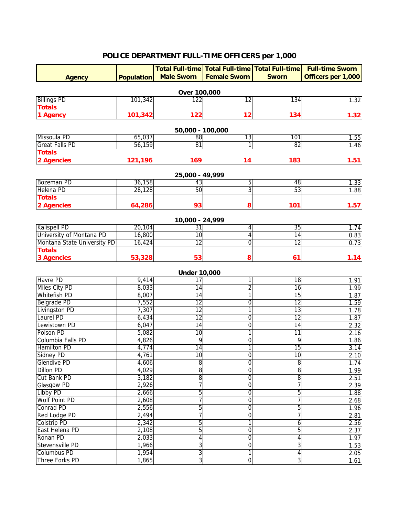#### **Agency Population Total Full-time Total Full-time Total Full-time Male Sworn Female Sworn Sworn Full-time Sworn Officers per 1,000** Billings PD 122 12 134 1.32 **Totals 1 Agency 101,342 122 12 134 1.32** Missoula PD | 65,037| 88| 13| 101| 1.55 Great Falls PD | 56,159| 81| 1| 82| 1.46 **Totals 2 Agencies 121,196 169 14 183 1.51** Bozeman PD 36,158 43 5 48 1.33 Helena PD | 28,128| 50| 3| 53| 1.88 **Totals 2 Agencies 64,286 93 8 101 1.57** Kalispell PD | 20,104| 31| 4| 35| 1.74 University of Montana PD 16,800 10 10 10 14 14 14 0.83 Montana State University PD 16,424 12 12 0 12 12 12 0.73 **Totals 3 Agencies 53,328 53 8 61 1.14** Havre PD 9,414 17 1 18 1.91 Miles City PD 8,033 14 2 16 1.99 Whitefish PD | 8,007| 14| 1| 15| 1.87 Belgrade PD 7,552 12 0 12 1.59 Livingston PD 7,307 12 1 13 1.78 Laurel PD 6,434 12 0 12 1.87 Lewistown PD 6,047 14 0 14 2.32<br>Polson PD 5,082 10 1 11 2.16 Polson PD 5,082 10 11 11 2.16 Columbia Falls PD 4,826 9 0 9 1.86 Hamilton PD | 4,774 | 14 | 1 | 15 | 3.14 Sidney PD 4,761 10 0 10 2.10 Glendive PD 4,606 8 0 8 1.74 Dillon PD 4,029 8 0 8 1.99 Cut Bank PD | 3,182 | 8 | 0 | 8 | 2.51 Glasgow PD 2,926 7 0 7 2.39 Libby PD 2,666 5 0 5 1.88 Volf Point PD 2,608 7 0 7 2.68 Conrad PD 2,556 5 0 5 1.96 Red Lodge PD 2,494 7 0 7 2.81 Colstrip PD  $2.342$   $5$   $1$   $6$   $2.56$ Part Helena PD 2,108 5 0 5 2.37<br>
Ronan PD 2,033 4 0 4 1.97 Ronan PD | 2,033| 4| 0| 4| 1.97 Stevensville PD 1,966 3 0 3 3 1.53 Columbus PD 1,954 3 1 4 2.05 Three Forks PD 1,865 3 0 3 3 1.61 **Under 10,000 Over 100,000 25,000 - 49,999 10,000 - 24,999 50,000 - 100,000**

### **POLICE DEPARTMENT FULL-TIME OFFICERS per 1,000**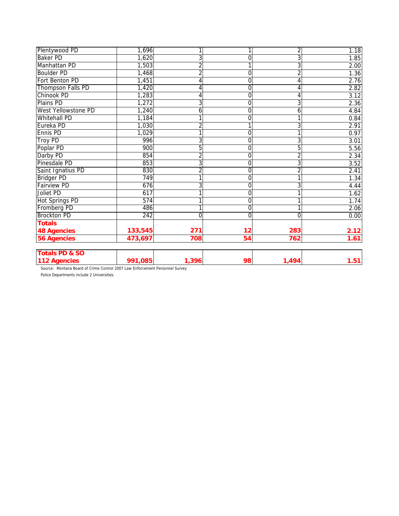| Plentywood PD              | 1,696   |                | 1  | $\overline{2}$ | 1.18 |
|----------------------------|---------|----------------|----|----------------|------|
| <b>Baker PD</b>            | 1,620   | 3              | 0  | 3              | 1.85 |
| Manhattan PD               | 1,503   | $\overline{2}$ |    | 3              | 2.00 |
| <b>Boulder PD</b>          | 1,468   | $\overline{2}$ | 0  | $\overline{2}$ | 1.36 |
| Fort Benton PD             | 1,451   | 4              | 0  | $\overline{4}$ | 2.76 |
| <b>Thompson Falls PD</b>   | 1,420   | 4              | 0  | 4              | 2.82 |
| Chinook PD                 | 1,283   | 4              | 0  | 4              | 3.12 |
| Plains PD                  | 1,272   | 3              | 0  | 3              | 2.36 |
| <b>West Yellowstone PD</b> | 1,240   | 6              | 0  | 6              | 4.84 |
| <b>Whitehall PD</b>        | 1,184   | 1              | 0  | 1              | 0.84 |
| Eureka PD                  | 1,030   | $\overline{2}$ |    | 3              | 2.91 |
| Ennis PD                   | 1,029   | 1              | 0  | 1              | 0.97 |
| Troy PD                    | 996     | 3              | 0  | 3              | 3.01 |
| Poplar PD                  | 900     | 5              | 0  | $\overline{5}$ | 5.56 |
| Darby PD                   | 854     | 2              | 0  | $\overline{2}$ | 2.34 |
| Pinesdale PD               | 853     | 3              | 0  | 3              | 3.52 |
| Saint Ignatius PD          | 830     | $\overline{2}$ | 0  | $\overline{2}$ | 2.41 |
| <b>Bridger PD</b>          | 749     |                | 0  | 1              | 1.34 |
| <b>Fairview PD</b>         | 676     | 3              | 0  | 3              | 4.44 |
| Joliet PD                  | 617     |                | 0  |                | 1.62 |
| Hot Springs PD             | 574     | 1              | 0  | 1              | 1.74 |
| Fromberg PD                | 486     |                | 0  | 1              | 2.06 |
| <b>Brockton PD</b>         | 242     | 0              | 0  | $\Omega$       | 0.00 |
| <b>Totals</b>              |         |                |    |                |      |
| <b>48 Agencies</b>         | 133,545 | 271            | 12 | 283            | 2.12 |
| <b>56 Agencies</b>         | 473,697 | 708            | 54 | 762            | 1.61 |
| <b>Totals PD &amp; SO</b>  |         |                |    |                |      |
| 112 Agencies               | 991,085 | 1,396          | 98 | 1,494          | 1.51 |

Police Departments include 2 Universities.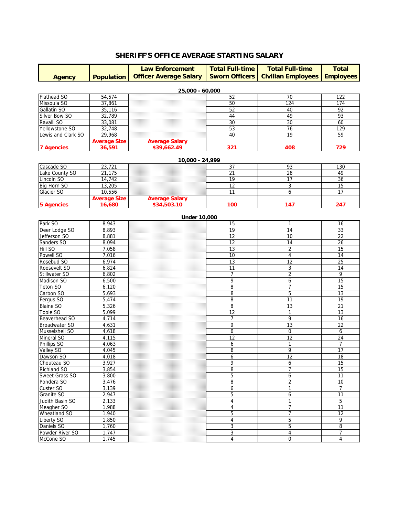## **SHERIFF'S OFFICE AVERAGE STARTING SALARY**

|                    |                     | <b>Law Enforcement</b>        | <b>Total Full-time</b><br><b>Sworn Officers</b> | <b>Total Full-time</b>    | <b>Total</b>     |
|--------------------|---------------------|-------------------------------|-------------------------------------------------|---------------------------|------------------|
| <b>Agency</b>      | <b>Population</b>   | <b>Officer Average Salary</b> |                                                 | <b>Civilian Employees</b> | <b>Employees</b> |
|                    |                     | 25,000 - 60,000               |                                                 |                           |                  |
| <b>Flathead SO</b> | 54,574              |                               | 52                                              | 70                        | 122              |
| Missoula SO        | 37,861              |                               | 50                                              | 124                       | 174              |
| Gallatin SO        | 35,116              |                               | 52                                              | 40                        | 92               |
| Silver Bow SO      | 32,789              |                               | 44                                              | 49                        | 93               |
| Ravalli SO         | 33,081              |                               | 30                                              | 30                        | 60               |
| Yellowstone SO     | 32,748              |                               | 53                                              | 76                        | 129              |
| Lewis and Clark SO | 29,968              |                               | 40                                              | 19                        | 59               |
|                    | <b>Average Size</b> | <b>Average Salary</b>         |                                                 |                           |                  |
| <b>7 Agencies</b>  | 36,591              | \$39,662.49                   | 321                                             | 408                       | 729              |
|                    |                     | 10,000 - 24,999               |                                                 |                           |                  |
| Cascade SO         | 23,721              |                               | 37                                              | 93                        | 130              |
| Lake County SO     | 21,175              |                               | 21                                              | 28                        | 49               |
| Lincoln SO         |                     |                               | 19                                              | 17                        |                  |
|                    | 14,742              |                               |                                                 |                           | 36               |
| Big Horn SO        | 13,205              |                               | 12                                              | 3                         | 15               |
| Glacier SO         | 10,556              |                               | 11                                              | 6                         | 17               |
|                    | <b>Average Size</b> | <b>Average Salary</b>         |                                                 |                           |                  |

|                    |       | UIIUEI IU,UUU |                 |                         |                 |
|--------------------|-------|---------------|-----------------|-------------------------|-----------------|
| Park SO            | 8,943 |               | 15              | $\mathbf{1}$            | 16              |
| Deer Lodge SO      | 8,893 |               | $\overline{19}$ | 14                      | 33              |
| Jefferson SO       | 8,881 |               | 12              | 10                      | 22              |
| Sanders SO         | 8,094 |               | 12              | 14                      | 26              |
| Hill SO            | 7,058 |               | 13              | $\overline{2}$          | 15              |
| Powell SO          | 7,016 |               | 10              | $\overline{\mathbf{4}}$ | 14              |
| Rosebud SO         | 6,974 |               | 13              | 12                      | 25              |
| Roosevelt SO       | 6,824 |               | 11              | $\overline{3}$          | 14              |
| Stillwater SO      | 6,802 |               | $\overline{7}$  | $\overline{2}$          | 9               |
| Madison SO         | 6,500 |               | 9               | 6                       | 15              |
| <b>Teton SO</b>    | 6,120 |               | 8               | $\overline{7}$          | 15              |
| Carbon SO          | 5,693 |               | $\overline{8}$  | 5                       | $\overline{13}$ |
| Fergus SO          | 5,474 |               | $\overline{8}$  | $\overline{11}$         | $\overline{19}$ |
| <b>Blaine SO</b>   | 5,326 |               | $\overline{8}$  | 13                      | 21              |
| Toole SO           | 5,099 |               | 12              | $\mathbf{1}$            | 13              |
| Beaverhead SO      | 4,714 |               | $\overline{7}$  | 9                       | 16              |
| Broadwater SO      | 4,631 |               | 9               | 13                      | 22              |
| Musselshell SO     | 4,618 |               | 6               | $\mathbf 0$             | 6               |
| Mineral SO         | 4,115 |               | 12              | 12                      | 24              |
| Phillips SO        | 4,063 |               | 6               | $\mathbf{1}$            | $\overline{7}$  |
| Valley SO          | 4,045 |               | 8               | 9                       | 17              |
| Dawson SO          | 4,018 |               | 6               | 12                      | 18              |
| Chouteau SO        | 3,927 |               | 9               | 6                       | $\overline{15}$ |
| <b>Richland SO</b> | 3,854 |               | 8               | $\overline{7}$          | 15              |
| Sweet Grass SO     | 3,800 |               | 5               | 6                       | 11              |
| Pondera SO         | 3,476 |               | 8               | $\overline{2}$          | 10              |
| Custer SO          | 3,139 |               | 6               | $\mathbf{1}$            | $\overline{7}$  |
| Granite SO         | 2,947 |               | 5               | 6                       | 11              |
| Judith Basin SO    | 2,133 |               | 4               | $\mathbf{1}$            | 5               |
| Meagher SO         | 1,988 |               | 4               | $\overline{7}$          | 11              |
| Wheatland SO       | 1,940 |               | 5               | $\overline{7}$          | 12              |
| <b>Liberty SO</b>  | 1,850 |               | 4               | 5                       | 9               |
| Daniels SO         | 1,760 |               | 3               | 5                       | 8               |
| Powder River SO    | 1,747 |               | 3               | 4                       | $\overline{7}$  |
| McCone SO          | 1,745 |               | $\overline{4}$  | $\mathbf 0$             | $\overline{4}$  |

#### **Under 10,000**

**5 Agencies 16,680 \$34,503.10 100 147 247**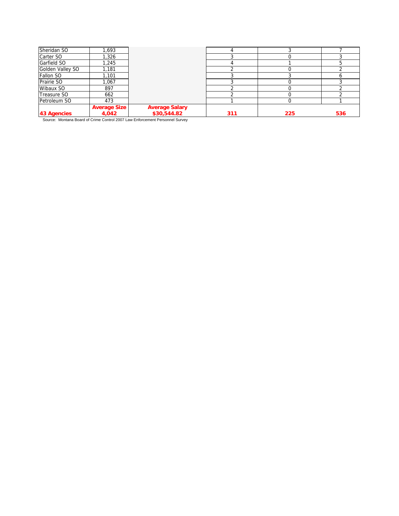| Sheridan SO      | 1.693                 |                               |  |  |
|------------------|-----------------------|-------------------------------|--|--|
| Carter SO        | .326                  |                               |  |  |
| Garfield SO      | 1.245                 |                               |  |  |
| Golden Valley SO | .181                  |                               |  |  |
|                  | 1.101                 |                               |  |  |
| Prairie SO       | .067                  |                               |  |  |
| Wibaux SO        | 897                   |                               |  |  |
| Treasure SO      | 662                   |                               |  |  |
| Petroleum SO     | 473                   |                               |  |  |
|                  | Average Size<br>4 042 | Average Salary<br>\$30,544.82 |  |  |
| <b>43 Ago</b>    |                       |                               |  |  |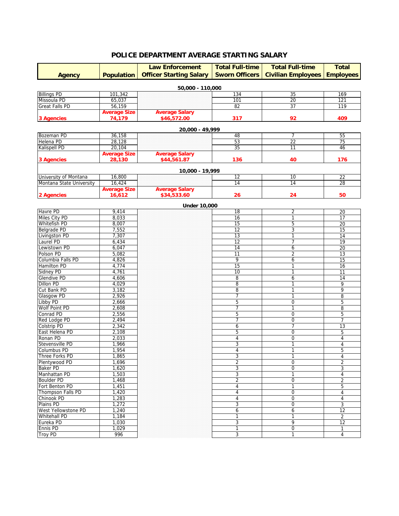## **POLICE DEPARTMENT AVERAGE STARTING SALARY**

| <b>Law Enforcement</b>           |                     | <b>Total Full-time</b>         | <b>Total Full-time</b> | <b>Total</b>              |                                   |
|----------------------------------|---------------------|--------------------------------|------------------------|---------------------------|-----------------------------------|
| <b>Agency</b>                    | <b>Population</b>   | <b>Officer Starting Salary</b> | <b>Sworn Officers</b>  | <b>Civilian Employees</b> | <b>Employees</b>                  |
|                                  |                     |                                |                        |                           |                                   |
| <b>Billings PD</b>               |                     | 50,000 - 110,000               |                        |                           |                                   |
| Missoula PD                      | 101,342<br>65,037   |                                | 134<br>101             | 35<br>20                  | 169<br>121                        |
| <b>Great Falls PD</b>            | 56,159              |                                | 82                     | 37                        | 119                               |
|                                  | <b>Average Size</b> | <b>Average Salary</b>          |                        |                           |                                   |
| <b>3 Agencies</b>                | 74,179              | \$46,572.00                    | 317                    | 92                        | 409                               |
|                                  |                     |                                |                        |                           |                                   |
| Bozeman <sub>PD</sub>            | 36,158              | 20,000 - 49,999                | 48                     | $\overline{7}$            | 55                                |
| Helena PD                        | 28,128              |                                | 53                     | $\overline{22}$           | $\overline{75}$                   |
| <b>Kalispell PD</b>              | 20,104              |                                | 35                     | $\overline{11}$           | 46                                |
|                                  | <b>Average Size</b> | <b>Average Salary</b>          |                        |                           |                                   |
| <b>3 Agencies</b>                | 28,130              | \$44,561.87                    | 136                    | 40                        | 176                               |
|                                  |                     | 10,000 - 19,999                |                        |                           |                                   |
| University of Montana            | 16,800              |                                | 12                     | 10                        | $\overline{22}$                   |
| Montana State University         | 16,424              |                                | 14                     | 14                        | $\overline{28}$                   |
|                                  | <b>Average Size</b> | <b>Average Salary</b>          |                        |                           |                                   |
| 2 Agencies                       | 16,612              | \$34,533.60                    | 26                     | 24                        | 50                                |
|                                  |                     | <b>Under 10,000</b>            |                        |                           |                                   |
| Havre PD                         | 9,414               |                                | 18                     | 2                         | 20                                |
| Miles City PD                    | 8,033               |                                | $\overline{16}$        | 1                         | 17                                |
| <b>Whitefish PD</b>              | 8,007               |                                | 15                     | 5                         | 20                                |
| <b>Belgrade PD</b>               | 7,552               |                                | $\overline{12}$        | 3                         | 15                                |
| Livingston PD                    | 7,307               |                                | 13                     | 1                         | 14                                |
| Laurel PD                        | 6,434               |                                | $\overline{12}$        | 7                         | 19                                |
| Lewistown PD                     | 6,047               |                                | 14                     | 6                         | 20                                |
| Polson PD                        | 5,082               |                                | $\overline{11}$        | 2                         | 13                                |
| Columbia Falls PD                | 4,826               |                                | 9                      | 6                         | 15                                |
| <b>Hamilton PD</b>               | 4,774               |                                | 15                     | 1                         | 16                                |
| Sidney PD                        | 4,761               |                                | 10                     | 1                         | $\overline{11}$                   |
| <b>Glendive PD</b>               | 4,606               |                                | 8                      | 6                         | 14                                |
| <b>Dillon PD</b>                 | 4,029               |                                | $\overline{8}$         | 1                         | 9                                 |
| Cut Bank PD                      | 3,182               |                                | 8                      |                           | 9                                 |
| Glasgow PD                       | 2,926               |                                | $\overline{7}$         |                           | 8                                 |
| Libby PD                         | 2,666               |                                | 5                      | 0                         | 5                                 |
| <b>Wolf Point PD</b>             | 2,608               |                                | 7                      | 1                         | 8                                 |
| <b>Conrad PD</b>                 | 2,556               |                                | 5                      | 0                         | $\overline{5}$                    |
| Red Lodge PD                     | 2,494               |                                | 7                      | 0                         | $\overline{7}$                    |
| <b>Colstrip PD</b>               | 2,342               |                                | 6                      | 7                         | $\overline{13}$                   |
| East Helena PD                   | 2,108               |                                | 5                      | 0                         | 5                                 |
| Ronan PD                         | 2,033               |                                | 4                      | 0                         | 4                                 |
| Stevensville PD                  | 1,966               |                                | 3                      | 1                         | 4                                 |
| <b>Columbus PD</b>               | 1,954               |                                | 4                      | 1                         | $\overline{5}$                    |
| Three Forks PD                   | 1,865               |                                | 3                      | 1                         | 4                                 |
| Plentywood PD                    | 1,696               |                                | $\overline{2}$         | 0                         | $\sqrt{2}$                        |
| <b>Baker PD</b>                  | 1,620               |                                | 3                      | 0                         | 3                                 |
| Manhattan PD                     | 1,503               |                                | 3                      | 1                         | 4                                 |
| <b>Boulder PD</b>                | 1,468               |                                | $\overline{2}$         | 0                         | $\overline{2}$                    |
| Fort Benton PD                   | 1,451               |                                | 4                      | 1                         | 5                                 |
| Thompson Falls PD                | 1,420               |                                | $\overline{4}$         | 0                         | 4                                 |
| Chinook PD                       | 1,283               |                                | 4                      | 0                         | $\overline{4}$                    |
| Plains PD                        | 1,272               |                                | 3                      | 0                         | 3                                 |
| <b>West Yellowstone PD</b>       | 1,240               |                                | 6                      | 6                         | 12                                |
| <b>Whitehall PD</b><br>Eureka PD | 1,184<br>1,030      |                                | 1                      | 1                         | $\overline{2}$<br>$\overline{12}$ |
| Ennis PD                         | 1,029               |                                | 3<br>1                 | 9<br>0                    | $\mathbf{1}$                      |
| <b>Troy PD</b>                   | 996                 |                                | 3                      | 1                         | $\overline{4}$                    |
|                                  |                     |                                |                        |                           |                                   |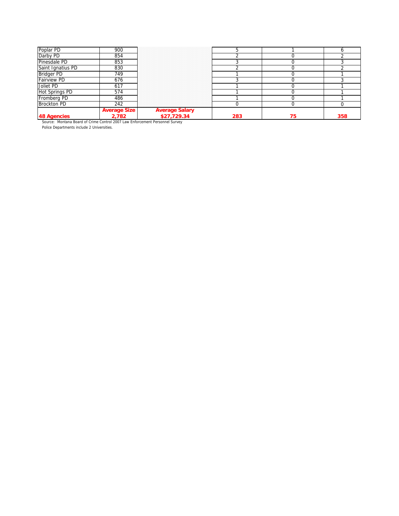| 48 Agencies<br>Source: Montana Board of Crime Control 2007 Law Enforcement Personnel Survey | 2.782               |                               | 283 | 358 |
|---------------------------------------------------------------------------------------------|---------------------|-------------------------------|-----|-----|
|                                                                                             | <b>Average Size</b> | Average Salary<br>\$27,729.34 |     |     |
| <b>Brockton PD</b>                                                                          | 242                 |                               |     |     |
| Fromberg PD                                                                                 | 486                 |                               |     |     |
| <b>Hot Springs PD</b>                                                                       | 574                 |                               |     |     |
| Joliet PD                                                                                   | 617                 |                               |     |     |
| <b>Fairview PD</b>                                                                          | 676                 |                               |     |     |
| <b>Bridger PD</b>                                                                           | 749                 |                               |     |     |
| Saint Ignatius PD                                                                           | 830                 |                               |     |     |
| Pinesdale PD                                                                                | 853                 |                               |     |     |
| Darby PD                                                                                    | 854                 |                               |     |     |
| Poplar PD                                                                                   | 900                 |                               |     |     |

Police Departments include 2 Universities.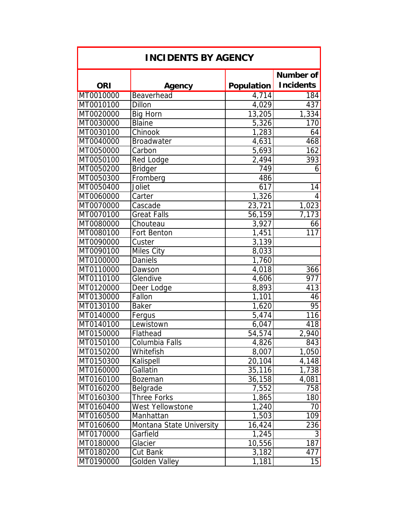| <b>INCIDENTS BY AGENCY</b> |                          |                      |                               |  |  |
|----------------------------|--------------------------|----------------------|-------------------------------|--|--|
| <b>ORI</b>                 | Agency                   | <b>Population</b>    | Number of<br><b>Incidents</b> |  |  |
| MT0010000                  | Beaverhead               | 4,714                | 184                           |  |  |
| MT0010100                  | Dillon                   | 4,029                | 437                           |  |  |
| MT0020000                  | <b>Big Horn</b>          | 13,205               | 1,334                         |  |  |
| MT0030000                  | <b>Blaine</b>            | 5,326                | 170                           |  |  |
| MT0030100                  | Chinook                  | 1,283                | 64                            |  |  |
| MT0040000                  | <b>Broadwater</b>        | 4,631                | 468                           |  |  |
| MT0050000                  | Carbon                   | 5,693                | 162                           |  |  |
| MT0050100                  | Red Lodge                | $\overline{2,}494$   | 393                           |  |  |
| MT0050200                  | <b>Bridger</b>           | 749                  | 6                             |  |  |
| MT0050300                  | Fromberg                 | 486                  |                               |  |  |
| MT0050400                  | Joliet                   | 617                  | 14                            |  |  |
| MT0060000                  | Carter                   | 1,326                | 4                             |  |  |
| MT0070000                  | Cascade                  | 23,721               | 1,023                         |  |  |
| MT0070100                  | <b>Great Falls</b>       | 56,159               | 7,173                         |  |  |
| MT0080000                  | Chouteau                 | 3,927                | 66                            |  |  |
| MT0080100                  | Fort Benton              | 1,451                | 117                           |  |  |
| MT0090000                  | Custer                   | 3,139                |                               |  |  |
| MT0090100                  | Miles City               | 8,033                |                               |  |  |
| MT0100000                  | <b>Daniels</b>           | 1,760                |                               |  |  |
| MT0110000                  | Dawson                   | 4,018                | 366                           |  |  |
| MT0110100                  | Glendive                 | 4,606                | 977                           |  |  |
| MT0120000                  | Deer Lodge               | 8,893                | 413                           |  |  |
| MT0130000                  | Fallon                   | $\overline{1}$ , 101 | 46                            |  |  |
| MT0130100                  | <b>Baker</b>             | 1,620                | 95                            |  |  |
| MT0140000                  | Fergus                   | 5,474                | 116                           |  |  |
| MT0140100                  | Lewistown                | 6,047                | 418                           |  |  |
| MT0150000                  | Flathead                 | 54,574               | 2,940                         |  |  |
| MT0150100                  | Columbia Falls           | 4,826                | 843                           |  |  |
| MT0150200                  | Whitefish                | 8,007                | 1,050                         |  |  |
| MT0150300                  | Kalispell                | 20,104               | 4,148                         |  |  |
| MT0160000                  | Gallatin                 | 35,116               | $\overline{1,738}$            |  |  |
| MT0160100                  | <b>Bozeman</b>           | 36,158               | 4,081                         |  |  |
| MT0160200                  | Belgrade                 | 7,552                | 758                           |  |  |
| MT0160300                  | <b>Three Forks</b>       | 1,865                | 180                           |  |  |
| MT0160400                  | West Yellowstone         | 1,240                | 70                            |  |  |
| MT0160500                  | Manhattan                | 1,503                | 109                           |  |  |
| MT0160600                  | Montana State University | 16,424               | 236                           |  |  |
| MT0170000                  | Garfield                 | 1,245                | 3                             |  |  |
| MT0180000                  | Glacier                  | 10,556               | 187                           |  |  |
| MT0180200                  | Cut Bank                 | 3,182                | 477                           |  |  |
| MT0190000                  | Golden Valley            | 1,181                | 15                            |  |  |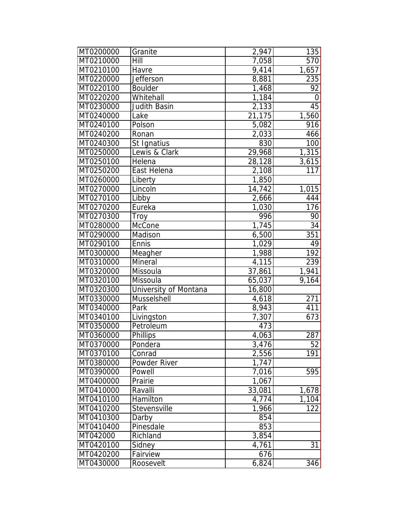| MT0200000 | Granite               | 2,947  | 135             |
|-----------|-----------------------|--------|-----------------|
| MT0210000 | Hill                  | 7,058  | 570             |
| MT0210100 | Havre                 | 9,414  | 1,657           |
| MT0220000 | Jefferson             | 8,881  | 235             |
| MT0220100 | <b>Boulder</b>        | 1,468  | $\overline{92}$ |
| MT0220200 | Whitehall             | 1,184  | 0               |
| MT0230000 | <b>Judith Basin</b>   | 2,133  | 45              |
| MT0240000 | Lake                  | 21,175 | 1,560           |
| MT0240100 | Polson                | 5,082  | 916             |
| MT0240200 | Ronan                 | 2,033  | 466             |
| MT0240300 | St Ignatius           | 830    | 100             |
| MT0250000 | Lewis & Clark         | 29,968 | 1,315           |
| MT0250100 | Helena                | 28,128 | 3,615           |
| MT0250200 | East Helena           | 2,108  | 117             |
| MT0260000 | Liberty               | 1,850  |                 |
| MT0270000 | Lincoln               | 14,742 | 1,015           |
| MT0270100 | Libby                 | 2,666  | 444             |
| MT0270200 | Eureka                | 1,030  | 176             |
| MT0270300 | Troy                  | 996    | 90              |
| MT0280000 | McCone                | 1,745  | $\overline{34}$ |
| MT0290000 | Madison               | 6,500  | 351             |
| MT0290100 | Ennis                 | 1,029  | 49              |
| MT0300000 | Meagher               | 1,988  | 192             |
| MT0310000 | Mineral               | 4,115  | 239             |
| MT0320000 | Missoula              | 37,861 | 1,941           |
| MT0320100 | Missoula              | 65,037 | 9,164           |
| MT0320300 | University of Montana | 16,800 |                 |
| MT0330000 | Musselshell           | 4,618  | 271             |
| MT0340000 | Park                  | 8,943  | 411             |
| MT0340100 | Livingston            | 7,307  | 673             |
| MT0350000 | Petroleum             | 473    |                 |
| MT0360000 | <b>Phillips</b>       | 4,063  | 287             |
| MT0370000 | Pondera               | 3,476  | 52              |
| MT0370100 | Conrad                | 2,556  | 191             |
| MT0380000 | Powder River          | 1,747  |                 |
| MT0390000 | Powell                | 7,016  | 595             |
| MT0400000 | Prairie               | 1,067  |                 |
| MT0410000 | Ravalli               | 33,081 | 1,678           |
| MT0410100 | Hamilton              | 4,774  | 1,104           |
| MT0410200 | Stevensville          | 1,966  | 122             |
| MT0410300 | Darby                 | 854    |                 |
| MT0410400 | Pinesdale             | 853    |                 |
| MT042000  | Richland              | 3,854  |                 |
| MT0420100 | Sidney                | 4,761  | 31              |
| MT0420200 | Fairview              | 676    |                 |
| MT0430000 | Roosevelt             | 6,824  | 346             |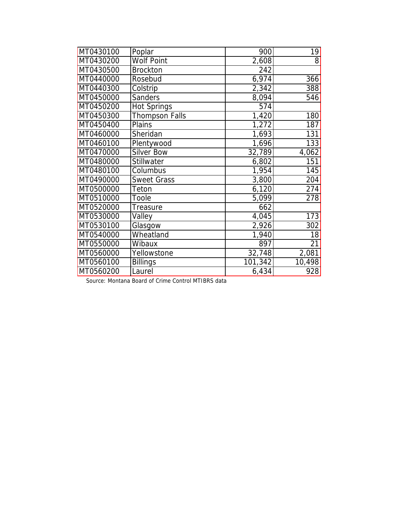| MT0430100 | Poplar             | 900     | 19              |
|-----------|--------------------|---------|-----------------|
| MT0430200 | <b>Wolf Point</b>  | 2,608   | $\mathbf{8}$    |
| MT0430500 | <b>Brockton</b>    | 242     |                 |
| MT0440000 | Rosebud            | 6,974   | 366             |
| MT0440300 | Colstrip           | 2,342   | 388             |
| MT0450000 | Sanders            | 8,094   | 546             |
| MT0450200 | <b>Hot Springs</b> | 574     |                 |
| MT0450300 | Thompson Falls     | 1,420   | 180             |
| MT0450400 | Plains             | 1,272   | 187             |
| MT0460000 | Sheridan           | 1,693   | 131             |
| MT0460100 | Plentywood         | 1,696   | 133             |
| MT0470000 | <b>Silver Bow</b>  | 32,789  | 4,062           |
| MT0480000 | Stillwater         | 6,802   | 151             |
| MT0480100 | Columbus           | 1,954   | 145             |
| MT0490000 | <b>Sweet Grass</b> | 3,800   | 204             |
| MT0500000 | Teton              | 6,120   | 274             |
| MT0510000 | Toole              | 5,099   | 278             |
| MT0520000 | Treasure           | 662     |                 |
| MT0530000 | Valley             | 4,045   | 173             |
| MT0530100 | Glasgow            | 2,926   | 302             |
| MT0540000 | Wheatland          | 1,940   | $\overline{18}$ |
| MT0550000 | Wibaux             | 897     | $\overline{21}$ |
| MT0560000 | Yellowstone        | 32,748  | 2,081           |
| MT0560100 | <b>Billings</b>    | 101,342 | 10,498          |
| MT0560200 | Laurel             | 6,434   | 928             |

Source: Montana Board of Crime Control MTIBRS data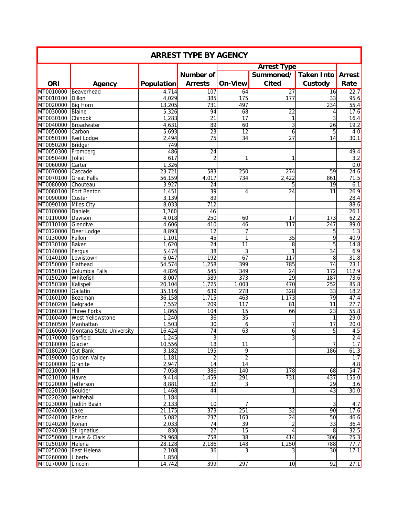| <b>ARREST TYPE BY AGENCY</b> |                                    |                |                 |                     |                    |                  |               |  |
|------------------------------|------------------------------------|----------------|-----------------|---------------------|--------------------|------------------|---------------|--|
|                              |                                    |                |                 |                     | <b>Arrest Type</b> |                  |               |  |
|                              |                                    |                | Number of       |                     | Summoned/          | Taken Into       | <b>Arrest</b> |  |
| <b>ORI</b>                   |                                    |                | <b>Arrests</b>  | <b>On-View</b>      | <b>Cited</b>       | Custody          | Rate          |  |
|                              | Agency                             | Population     |                 |                     |                    |                  |               |  |
| MT0010000<br>MT0010100       | Beaverhead<br>Dillon               | 4,714<br>4,029 | 107<br>385      | 64<br>175           | 27<br>177          | 16<br>33         | 22.7<br>95.6  |  |
| MT0020000                    | <b>Big Horn</b>                    | 13,205         | 731             | 497                 |                    | 234              | 55.4          |  |
| MT0030000                    | Blaine                             | 5,326          | 94              | 68                  | $\overline{22}$    | 4                | 17.6          |  |
| MT0030100                    | Chinook                            | 1,283          | 21              | $\overline{17}$     | 1                  | 3                | 16.4          |  |
| MT0040000                    | Broadwater                         | 4,631          | 89              | 60                  | 3                  | 26               | 19.2          |  |
| MT0050000                    | Carbon                             | 5,693          | $\overline{23}$ | $\overline{12}$     | 6                  | 5                | 4.0           |  |
| MT0050100                    | <b>Red Lodge</b>                   | 2,494          | 75              | $\overline{34}$     | $\overline{27}$    | 14               | 30.1          |  |
| MT0050200                    | Bridger                            | 749            |                 |                     |                    |                  |               |  |
| MT0050300                    | Fromberg                           | 486            | $\overline{24}$ |                     |                    |                  | 49.4          |  |
| MT0050400                    | Joliet                             | 617            | $\overline{2}$  | 1                   | 1                  |                  | 3.2           |  |
| MT0060000                    | Carter                             | 1,326          |                 |                     |                    |                  | 0.0           |  |
| MT0070000                    | Cascade                            | 23,721         | 583             | 250                 | 274                | 59               | 24.6          |  |
| MT0070100                    | <b>Great Falls</b>                 | 56,159         | 4,017           | 734                 | 2,422              | 861              | 71.5          |  |
| MT0080000                    | Chouteau                           | 3,927          | 24              |                     | 5                  | 19               | 6.1           |  |
| MT0080100                    | Fort Benton                        | 1,451          | 39              | $\overline{4}$      | 24                 | 11               | 26.9          |  |
| MT0090000                    | Custer                             | 3,139          | 89              |                     |                    |                  | 28.4          |  |
| MT0090100                    | <b>Miles City</b>                  | 8,033          | 712             |                     |                    |                  | 88.6          |  |
| MT0100000                    | Daniels                            | 1,760          | 46              |                     |                    |                  | 26.1          |  |
| MT0110000                    | Dawson                             | 4,018          | 250             | 60                  | 17                 | 173              | 62.2          |  |
| MT0110100                    | Glendive                           | 4,606          | 410             | 46                  | 117                | $\overline{247}$ | 89.0          |  |
| MT0120000                    | Deer Lodge                         | 8,893          | 12              | $\overline{7}$      |                    | 5                | 1.3           |  |
| MT0130000                    | Fallon                             | 1,101          | 45              | 1                   | 35                 | 9                | 40.9          |  |
| MT0130100                    | <b>Baker</b>                       | 1,620          | 24              | 11                  | 8                  | 5                | 14.8          |  |
| MT0140000                    | Fergus                             | 5,474          | 38              | 3                   | 1                  | 34               | 6.9           |  |
| MT0140100                    | Lewistown                          | 6,047          | 192             | 67                  | 117                | 8                | 31.8          |  |
| MT0150000                    | Flathead                           | 54,574         | 1,258           | 399                 | 785                | 74               | 23.1          |  |
| MT0150100                    | Columbia Falls                     | 4,826          | 545             | 349                 | 24                 | 172              | 112.9         |  |
| MT0150200                    | Whitefish                          | 8,007          | 589             | 373                 | 29                 | 187              | 73.6          |  |
| MT0150300                    | Kalispell                          | 20,104         | 1,725           | 1,003               | 470                | 252              | 85.8          |  |
| MT0160000                    | Gallatin                           | 35,116         | 639             | $\overline{278}$    | 328                | 33               | 18.2          |  |
| MT0160100                    | Bozeman                            | 36,158         | 1,715           | 463                 | 1,173              | 79               | 47.4          |  |
| MT0160200                    | Belgrade                           | 7,552          | 209             | 117                 | 81                 | 11               | 27.7          |  |
| MT0160300                    | <b>Three Forks</b>                 | 1,865          | 104             | 15                  | 66                 | 23               | 55.8          |  |
| MT0160400                    | <b>West Yellowstone</b>            | 1,240          | $\overline{36}$ | 35                  |                    | 1                | 29.0          |  |
| MT0160500                    | Manhattan                          | 1,503          | 30              | 6                   | 7                  | 17               | 20.0          |  |
| MT0170000 Garfield           | MT0160600 Montana State University | 16,424         | $\overline{74}$ | 63                  | 6                  | 5                | 4.5           |  |
| MT0180000 Glacier            |                                    | 1,245          | 3<br>18         | 11                  | 3                  | 7                | 2.4<br>1.7    |  |
| MT0180200                    | <b>Cut Bank</b>                    | 10,556         | 195             |                     |                    | 186              |               |  |
| MT0190000                    | <b>Golden Valley</b>               | 3,182<br>1,181 | $\overline{2}$  | 9<br>$\overline{2}$ |                    |                  | 61.3<br>1.7   |  |
| MT0200000                    | Granite                            | 2,947          | 14              | $\overline{14}$     |                    |                  | 4.8           |  |
| MT0210000                    | Hill                               | 7,058          | 386             | 140                 | 178                | 68               | 54.7          |  |
| MT0210100 Havre              |                                    | 9,414          | 1,459           | 291                 | 731                | 437              | 155.0         |  |
| MT0220000                    | Jefferson                          | 8,881          | 32              | 3                   |                    | 29               | 3.6           |  |
| MT0220100                    | <b>Boulder</b>                     | 1,468          | 44              |                     | 1                  | 43               | 30.0          |  |
| MT0220200                    | Whitehall                          | 1,184          |                 |                     |                    |                  |               |  |
| MT0230000                    | Judith Basin                       | 2,133          | 10              | 7                   |                    | 3                | 4.7           |  |
| MT0240000                    | Lake                               | 21,175         | 373             | 251                 | 32                 | 90               | 17.6          |  |
| MT0240100                    | Polson                             | 5,082          | 237             | 163                 | $\overline{24}$    | 50               | 46.6          |  |
| MT0240200                    | Ronan                              | 2,033          | 74              | $\overline{39}$     | $\overline{c}$     | 33               | 36.4          |  |
| MT0240300                    | St Ignatius                        | 830            | $\overline{27}$ | $\overline{15}$     | $\overline{4}$     | $\, 8$           | 32.5          |  |
| MT0250000                    | Lewis & Clark                      | 29,968         | 758             | 38                  | 414                | 306              | 25.3          |  |
| MT0250100 Helena             |                                    | 28,128         | 2,186           | 148                 | 1,250              | 788              | 77.7          |  |
| MT0250200                    | East Helena                        | 2,108          | 36              | 3                   | 3                  | 30               | 17.1          |  |
| MT0260000                    | Liberty                            | 1,850          |                 |                     |                    |                  |               |  |
| MT0270000                    | Lincoln                            | 14,742         | 399             | 297                 | 10                 | 92               | 27.1          |  |